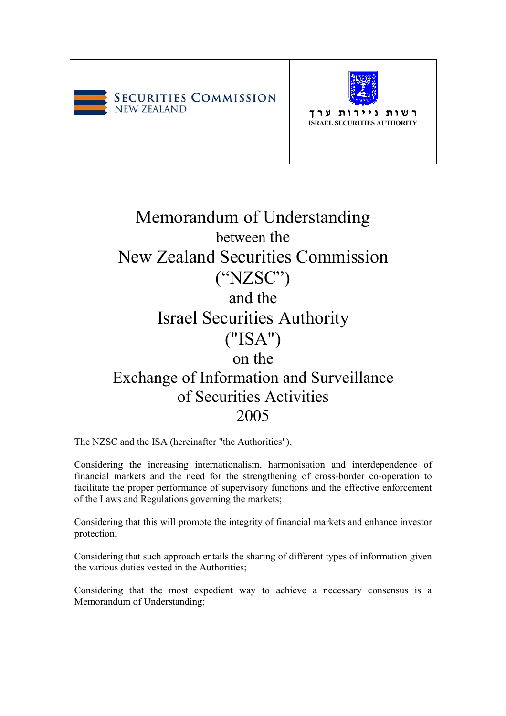



**ר ש ו ת נ י י ר ו ת ע ר ך ISRAEL SECURITIES AUTHORITY**

# Memorandum of Understanding between the New Zealand Securities Commission ("NZSC") and the Israel Securities Authority ("ISA") on the Exchange of Information and Surveillance of Securities Activities 2005

The NZSC and the ISA (hereinafter "the Authorities"),

Considering the increasing internationalism, harmonisation and interdependence of financial markets and the need for the strengthening of cross-border co-operation to facilitate the proper performance of supervisory functions and the effective enforcement of the Laws and Regulations governing the markets;

Considering that this will promote the integrity of financial markets and enhance investor protection;

Considering that such approach entails the sharing of different types of information given the various duties vested in the Authorities;

Considering that the most expedient way to achieve a necessary consensus is a Memorandum of Understanding;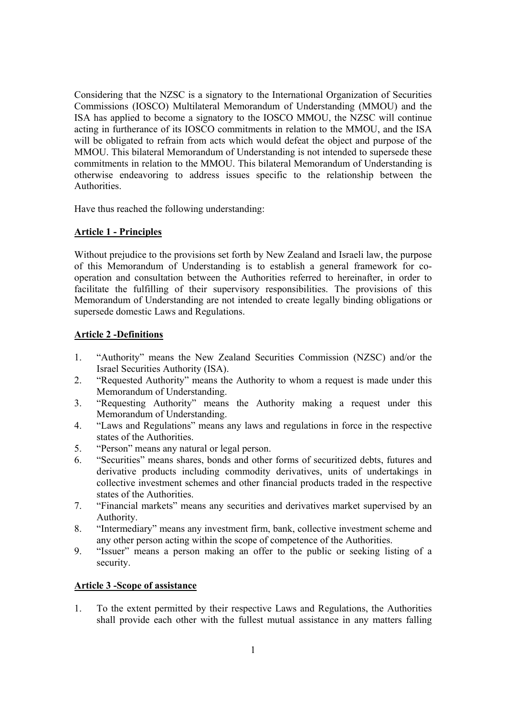Considering that the NZSC is a signatory to the International Organization of Securities Commissions (IOSCO) Multilateral Memorandum of Understanding (MMOU) and the ISA has applied to become a signatory to the IOSCO MMOU, the NZSC will continue acting in furtherance of its IOSCO commitments in relation to the MMOU, and the ISA will be obligated to refrain from acts which would defeat the object and purpose of the MMOU. This bilateral Memorandum of Understanding is not intended to supersede these commitments in relation to the MMOU. This bilateral Memorandum of Understanding is otherwise endeavoring to address issues specific to the relationship between the Authorities.

Have thus reached the following understanding:

## **Article 1 - Principles**

Without prejudice to the provisions set forth by New Zealand and Israeli law, the purpose of this Memorandum of Understanding is to establish a general framework for cooperation and consultation between the Authorities referred to hereinafter, in order to facilitate the fulfilling of their supervisory responsibilities. The provisions of this Memorandum of Understanding are not intended to create legally binding obligations or supersede domestic Laws and Regulations.

## **Article 2 -Definitions**

- 1. "Authority" means the New Zealand Securities Commission (NZSC) and/or the Israel Securities Authority (ISA).
- 2. "Requested Authority" means the Authority to whom a request is made under this Memorandum of Understanding.
- 3. "Requesting Authority" means the Authority making a request under this Memorandum of Understanding.
- 4. "Laws and Regulations" means any laws and regulations in force in the respective states of the Authorities.
- 5. "Person" means any natural or legal person.
- 6. "Securities" means shares, bonds and other forms of securitized debts, futures and derivative products including commodity derivatives, units of undertakings in collective investment schemes and other financial products traded in the respective states of the Authorities.
- 7. "Financial markets" means any securities and derivatives market supervised by an Authority.
- 8. "Intermediary" means any investment firm, bank, collective investment scheme and any other person acting within the scope of competence of the Authorities.
- 9. "Issuer" means a person making an offer to the public or seeking listing of a security.

## **Article 3 -Scope of assistance**

1. To the extent permitted by their respective Laws and Regulations, the Authorities shall provide each other with the fullest mutual assistance in any matters falling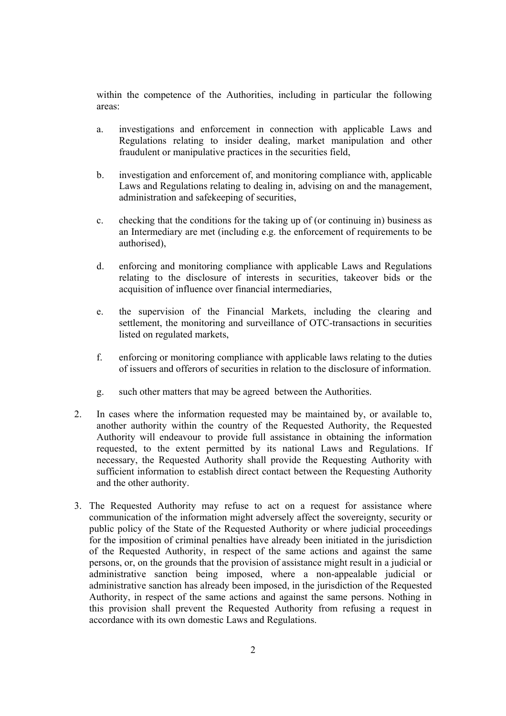within the competence of the Authorities, including in particular the following areas:

- a. investigations and enforcement in connection with applicable Laws and Regulations relating to insider dealing, market manipulation and other fraudulent or manipulative practices in the securities field,
- b. investigation and enforcement of, and monitoring compliance with, applicable Laws and Regulations relating to dealing in, advising on and the management, administration and safekeeping of securities,
- c. checking that the conditions for the taking up of (or continuing in) business as an Intermediary are met (including e.g. the enforcement of requirements to be authorised),
- d. enforcing and monitoring compliance with applicable Laws and Regulations relating to the disclosure of interests in securities, takeover bids or the acquisition of influence over financial intermediaries,
- e. the supervision of the Financial Markets, including the clearing and settlement, the monitoring and surveillance of OTC-transactions in securities listed on regulated markets,
- f. enforcing or monitoring compliance with applicable laws relating to the duties of issuers and offerors of securities in relation to the disclosure of information.
- g. such other matters that may be agreed between the Authorities.
- 2. In cases where the information requested may be maintained by, or available to, another authority within the country of the Requested Authority, the Requested Authority will endeavour to provide full assistance in obtaining the information requested, to the extent permitted by its national Laws and Regulations. If necessary, the Requested Authority shall provide the Requesting Authority with sufficient information to establish direct contact between the Requesting Authority and the other authority.
- 3. The Requested Authority may refuse to act on a request for assistance where communication of the information might adversely affect the sovereignty, security or public policy of the State of the Requested Authority or where judicial proceedings for the imposition of criminal penalties have already been initiated in the jurisdiction of the Requested Authority, in respect of the same actions and against the same persons, or, on the grounds that the provision of assistance might result in a judicial or administrative sanction being imposed, where a non-appealable judicial or administrative sanction has already been imposed, in the jurisdiction of the Requested Authority, in respect of the same actions and against the same persons. Nothing in this provision shall prevent the Requested Authority from refusing a request in accordance with its own domestic Laws and Regulations.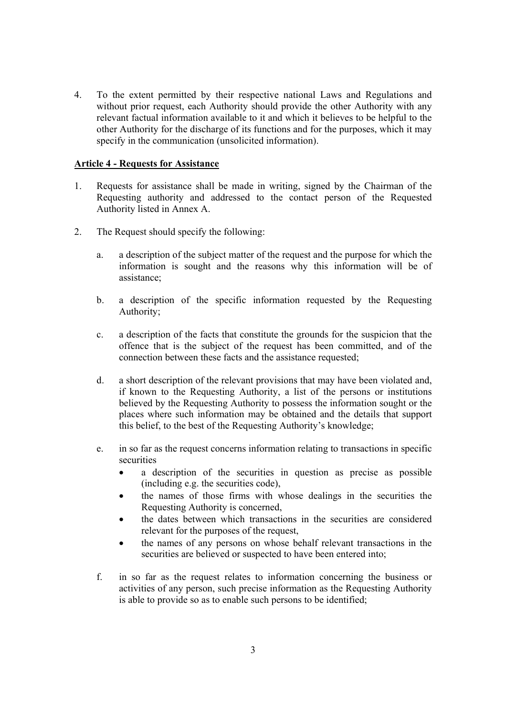4. To the extent permitted by their respective national Laws and Regulations and without prior request, each Authority should provide the other Authority with any relevant factual information available to it and which it believes to be helpful to the other Authority for the discharge of its functions and for the purposes, which it may specify in the communication (unsolicited information).

#### **Article 4 - Requests for Assistance**

- 1. Requests for assistance shall be made in writing, signed by the Chairman of the Requesting authority and addressed to the contact person of the Requested Authority listed in Annex A.
- 2. The Request should specify the following:
	- a. a description of the subject matter of the request and the purpose for which the information is sought and the reasons why this information will be of assistance;
	- b. a description of the specific information requested by the Requesting Authority;
	- c. a description of the facts that constitute the grounds for the suspicion that the offence that is the subject of the request has been committed, and of the connection between these facts and the assistance requested;
	- d. a short description of the relevant provisions that may have been violated and, if known to the Requesting Authority, a list of the persons or institutions believed by the Requesting Authority to possess the information sought or the places where such information may be obtained and the details that support this belief, to the best of the Requesting Authority's knowledge;
	- e. in so far as the request concerns information relating to transactions in specific securities
		- a description of the securities in question as precise as possible (including e.g. the securities code),
		- the names of those firms with whose dealings in the securities the Requesting Authority is concerned,
		- the dates between which transactions in the securities are considered relevant for the purposes of the request,
		- the names of any persons on whose behalf relevant transactions in the securities are believed or suspected to have been entered into:
	- f. in so far as the request relates to information concerning the business or activities of any person, such precise information as the Requesting Authority is able to provide so as to enable such persons to be identified;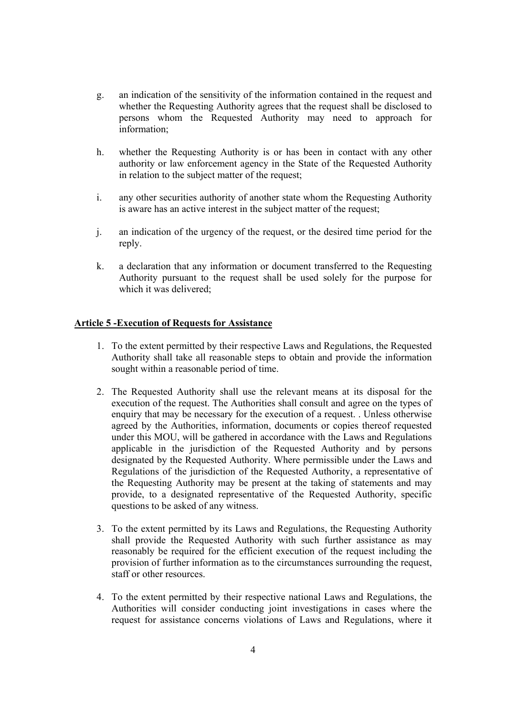- g. an indication of the sensitivity of the information contained in the request and whether the Requesting Authority agrees that the request shall be disclosed to persons whom the Requested Authority may need to approach for information;
- h. whether the Requesting Authority is or has been in contact with any other authority or law enforcement agency in the State of the Requested Authority in relation to the subject matter of the request;
- i. any other securities authority of another state whom the Requesting Authority is aware has an active interest in the subject matter of the request;
- j. an indication of the urgency of the request, or the desired time period for the reply.
- k. a declaration that any information or document transferred to the Requesting Authority pursuant to the request shall be used solely for the purpose for which it was delivered:

#### **Article 5 -Execution of Requests for Assistance**

- 1. To the extent permitted by their respective Laws and Regulations, the Requested Authority shall take all reasonable steps to obtain and provide the information sought within a reasonable period of time.
- 2. The Requested Authority shall use the relevant means at its disposal for the execution of the request. The Authorities shall consult and agree on the types of enquiry that may be necessary for the execution of a request. . Unless otherwise agreed by the Authorities, information, documents or copies thereof requested under this MOU, will be gathered in accordance with the Laws and Regulations applicable in the jurisdiction of the Requested Authority and by persons designated by the Requested Authority. Where permissible under the Laws and Regulations of the jurisdiction of the Requested Authority, a representative of the Requesting Authority may be present at the taking of statements and may provide, to a designated representative of the Requested Authority, specific questions to be asked of any witness.
- 3. To the extent permitted by its Laws and Regulations, the Requesting Authority shall provide the Requested Authority with such further assistance as may reasonably be required for the efficient execution of the request including the provision of further information as to the circumstances surrounding the request, staff or other resources.
- 4. To the extent permitted by their respective national Laws and Regulations, the Authorities will consider conducting joint investigations in cases where the request for assistance concerns violations of Laws and Regulations, where it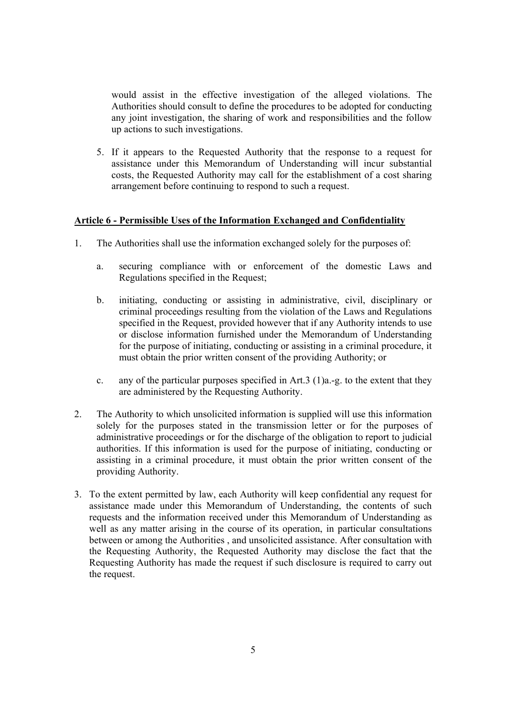would assist in the effective investigation of the alleged violations. The Authorities should consult to define the procedures to be adopted for conducting any joint investigation, the sharing of work and responsibilities and the follow up actions to such investigations.

5. If it appears to the Requested Authority that the response to a request for assistance under this Memorandum of Understanding will incur substantial costs, the Requested Authority may call for the establishment of a cost sharing arrangement before continuing to respond to such a request.

#### **Article 6 - Permissible Uses of the Information Exchanged and Confidentiality**

- 1. The Authorities shall use the information exchanged solely for the purposes of:
	- a. securing compliance with or enforcement of the domestic Laws and Regulations specified in the Request;
	- b. initiating, conducting or assisting in administrative, civil, disciplinary or criminal proceedings resulting from the violation of the Laws and Regulations specified in the Request, provided however that if any Authority intends to use or disclose information furnished under the Memorandum of Understanding for the purpose of initiating, conducting or assisting in a criminal procedure, it must obtain the prior written consent of the providing Authority; or
	- c. any of the particular purposes specified in Art.3 (1)a.-g. to the extent that they are administered by the Requesting Authority.
- 2. The Authority to which unsolicited information is supplied will use this information solely for the purposes stated in the transmission letter or for the purposes of administrative proceedings or for the discharge of the obligation to report to judicial authorities. If this information is used for the purpose of initiating, conducting or assisting in a criminal procedure, it must obtain the prior written consent of the providing Authority.
- 3. To the extent permitted by law, each Authority will keep confidential any request for assistance made under this Memorandum of Understanding, the contents of such requests and the information received under this Memorandum of Understanding as well as any matter arising in the course of its operation, in particular consultations between or among the Authorities , and unsolicited assistance. After consultation with the Requesting Authority, the Requested Authority may disclose the fact that the Requesting Authority has made the request if such disclosure is required to carry out the request.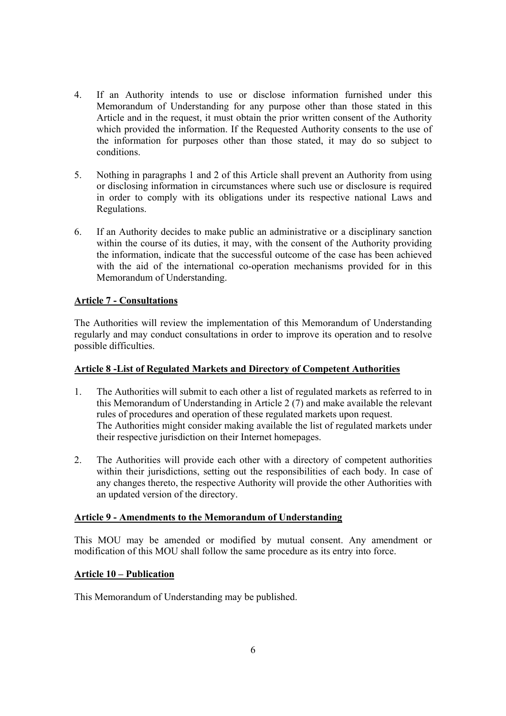- 4. If an Authority intends to use or disclose information furnished under this Memorandum of Understanding for any purpose other than those stated in this Article and in the request, it must obtain the prior written consent of the Authority which provided the information. If the Requested Authority consents to the use of the information for purposes other than those stated, it may do so subject to conditions.
- 5. Nothing in paragraphs 1 and 2 of this Article shall prevent an Authority from using or disclosing information in circumstances where such use or disclosure is required in order to comply with its obligations under its respective national Laws and Regulations.
- 6. If an Authority decides to make public an administrative or a disciplinary sanction within the course of its duties, it may, with the consent of the Authority providing the information, indicate that the successful outcome of the case has been achieved with the aid of the international co-operation mechanisms provided for in this Memorandum of Understanding.

## **Article 7 - Consultations**

The Authorities will review the implementation of this Memorandum of Understanding regularly and may conduct consultations in order to improve its operation and to resolve possible difficulties.

# **Article 8 -List of Regulated Markets and Directory of Competent Authorities**

- 1. The Authorities will submit to each other a list of regulated markets as referred to in this Memorandum of Understanding in Article 2 (7) and make available the relevant rules of procedures and operation of these regulated markets upon request. The Authorities might consider making available the list of regulated markets under their respective jurisdiction on their Internet homepages.
- 2. The Authorities will provide each other with a directory of competent authorities within their jurisdictions, setting out the responsibilities of each body. In case of any changes thereto, the respective Authority will provide the other Authorities with an updated version of the directory.

## **Article 9 - Amendments to the Memorandum of Understanding**

This MOU may be amended or modified by mutual consent. Any amendment or modification of this MOU shall follow the same procedure as its entry into force.

## **Article 10 – Publication**

This Memorandum of Understanding may be published.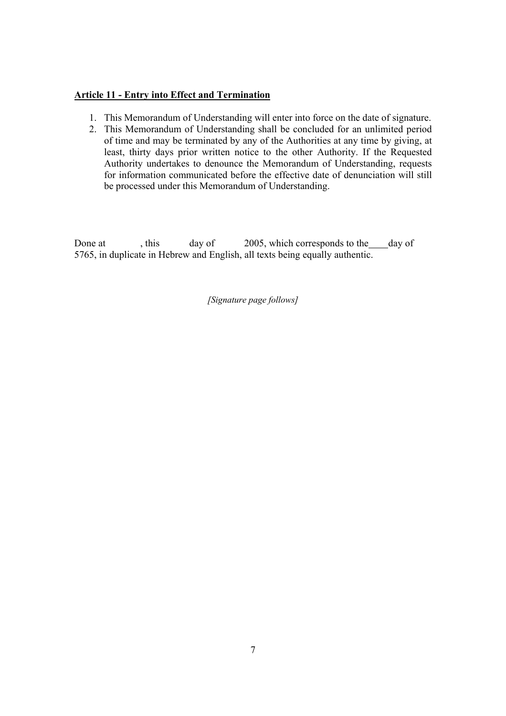# **Article 11 - Entry into Effect and Termination**

- 1. This Memorandum of Understanding will enter into force on the date of signature.
- 2. This Memorandum of Understanding shall be concluded for an unlimited period of time and may be terminated by any of the Authorities at any time by giving, at least, thirty days prior written notice to the other Authority. If the Requested Authority undertakes to denounce the Memorandum of Understanding, requests for information communicated before the effective date of denunciation will still be processed under this Memorandum of Understanding.

Done at , this day of 2005, which corresponds to the day of 5765, in duplicate in Hebrew and English, all texts being equally authentic.

*[Signature page follows]*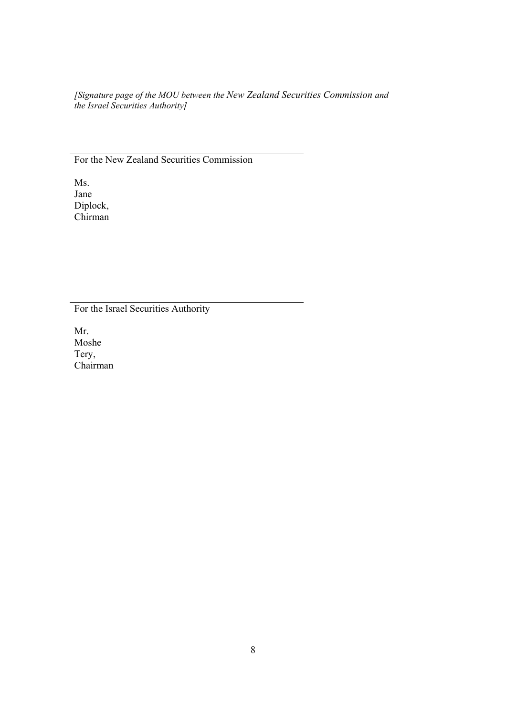*[Signature page of the MOU between the New Zealand Securities Commission and the Israel Securities Authority]* 

For the New Zealand Securities Commission

Ms. Jane Diplock, Chirman

For the Israel Securities Authority

Mr. Moshe Tery, Chairman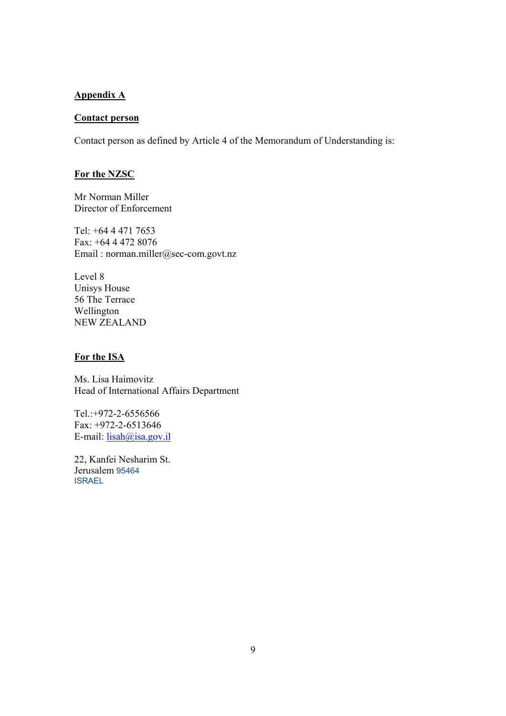#### **Appendix A**

# **Contact person**

Contact person as defined by Article 4 of the Memorandum of Understanding is:

# **For the NZSC**

Mr Norman Miller Director of Enforcement

Tel: +64 4 471 7653 Fax: +64 4 472 8076 Email : norman.miller@sec-com.govt.nz

Level 8 Unisys House 56 The Terrace Wellington NEW ZEALAND

#### **For the ISA**

Ms. Lisa Haimovitz Head of International Affairs Department

Tel.:+972-2-6556566 Fax: +972-2-6513646 E-mail:  $l_{isah@isa.gov.i}$ 

22, Kanfei Nesharim St. Jerusalem 95464 ISRAEL